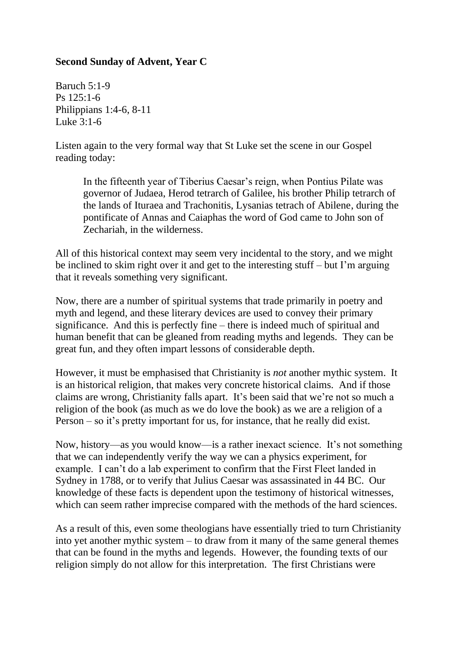## **Second Sunday of Advent, Year C**

Baruch 5:1-9 Ps 125:1-6 Philippians 1:4-6, 8-11 Luke  $3:1-6$ 

Listen again to the very formal way that St Luke set the scene in our Gospel reading today:

In the fifteenth year of Tiberius Caesar's reign, when Pontius Pilate was governor of Judaea, Herod tetrarch of Galilee, his brother Philip tetrarch of the lands of Ituraea and Trachonitis, Lysanias tetrach of Abilene, during the pontificate of Annas and Caiaphas the word of God came to John son of Zechariah, in the wilderness.

All of this historical context may seem very incidental to the story, and we might be inclined to skim right over it and get to the interesting stuff – but I'm arguing that it reveals something very significant.

Now, there are a number of spiritual systems that trade primarily in poetry and myth and legend, and these literary devices are used to convey their primary significance. And this is perfectly fine – there is indeed much of spiritual and human benefit that can be gleaned from reading myths and legends. They can be great fun, and they often impart lessons of considerable depth.

However, it must be emphasised that Christianity is *not* another mythic system. It is an historical religion, that makes very concrete historical claims. And if those claims are wrong, Christianity falls apart. It's been said that we're not so much a religion of the book (as much as we do love the book) as we are a religion of a Person – so it's pretty important for us, for instance, that he really did exist.

Now, history—as you would know—is a rather inexact science. It's not something that we can independently verify the way we can a physics experiment, for example. I can't do a lab experiment to confirm that the First Fleet landed in Sydney in 1788, or to verify that Julius Caesar was assassinated in 44 BC. Our knowledge of these facts is dependent upon the testimony of historical witnesses, which can seem rather imprecise compared with the methods of the hard sciences.

As a result of this, even some theologians have essentially tried to turn Christianity into yet another mythic system – to draw from it many of the same general themes that can be found in the myths and legends. However, the founding texts of our religion simply do not allow for this interpretation. The first Christians were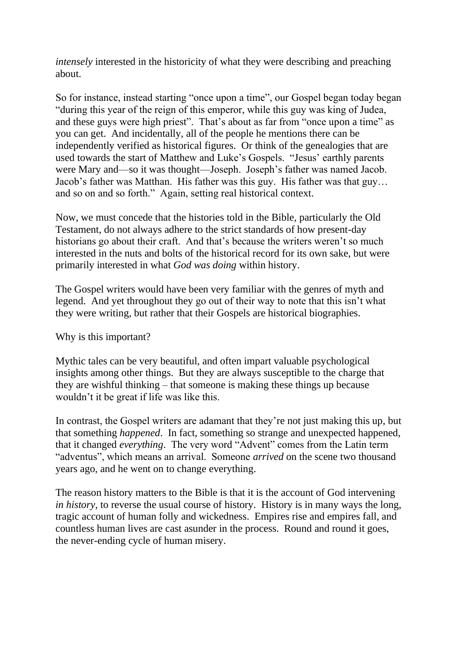*intensely* interested in the historicity of what they were describing and preaching about.

So for instance, instead starting "once upon a time", our Gospel began today began "during this year of the reign of this emperor, while this guy was king of Judea, and these guys were high priest". That's about as far from "once upon a time" as you can get. And incidentally, all of the people he mentions there can be independently verified as historical figures. Or think of the genealogies that are used towards the start of Matthew and Luke's Gospels. "Jesus' earthly parents were Mary and—so it was thought—Joseph. Joseph's father was named Jacob. Jacob's father was Matthan. His father was this guy. His father was that guy… and so on and so forth." Again, setting real historical context.

Now, we must concede that the histories told in the Bible, particularly the Old Testament, do not always adhere to the strict standards of how present-day historians go about their craft. And that's because the writers weren't so much interested in the nuts and bolts of the historical record for its own sake, but were primarily interested in what *God was doing* within history.

The Gospel writers would have been very familiar with the genres of myth and legend. And yet throughout they go out of their way to note that this isn't what they were writing, but rather that their Gospels are historical biographies.

Why is this important?

Mythic tales can be very beautiful, and often impart valuable psychological insights among other things. But they are always susceptible to the charge that they are wishful thinking – that someone is making these things up because wouldn't it be great if life was like this.

In contrast, the Gospel writers are adamant that they're not just making this up, but that something *happened*. In fact, something so strange and unexpected happened, that it changed *everything*. The very word "Advent" comes from the Latin term "adventus", which means an arrival. Someone *arrived* on the scene two thousand years ago, and he went on to change everything.

The reason history matters to the Bible is that it is the account of God intervening *in history*, to reverse the usual course of history. History is in many ways the long, tragic account of human folly and wickedness. Empires rise and empires fall, and countless human lives are cast asunder in the process. Round and round it goes, the never-ending cycle of human misery.